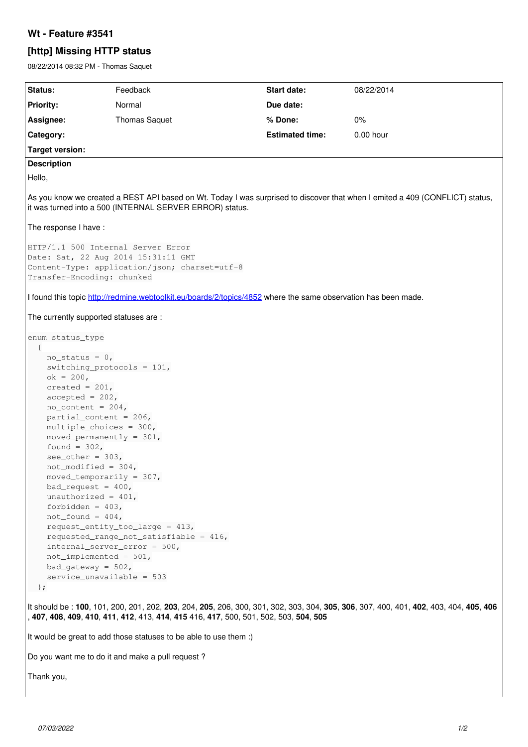## **Wt - Feature #3541**

## **[http] Missing HTTP status**

08/22/2014 08:32 PM - Thomas Saquet

| Status:                                                                                                                                                                                                                                                                                                                                                                                                                                                                                                                                                                                                                                                                                                          | Feedback             | Start date:            | 08/22/2014  |
|------------------------------------------------------------------------------------------------------------------------------------------------------------------------------------------------------------------------------------------------------------------------------------------------------------------------------------------------------------------------------------------------------------------------------------------------------------------------------------------------------------------------------------------------------------------------------------------------------------------------------------------------------------------------------------------------------------------|----------------------|------------------------|-------------|
| <b>Priority:</b>                                                                                                                                                                                                                                                                                                                                                                                                                                                                                                                                                                                                                                                                                                 | Normal               | Due date:              |             |
| Assignee:                                                                                                                                                                                                                                                                                                                                                                                                                                                                                                                                                                                                                                                                                                        | <b>Thomas Saquet</b> | % Done:                | $0\%$       |
| Category:                                                                                                                                                                                                                                                                                                                                                                                                                                                                                                                                                                                                                                                                                                        |                      | <b>Estimated time:</b> | $0.00$ hour |
| <b>Target version:</b>                                                                                                                                                                                                                                                                                                                                                                                                                                                                                                                                                                                                                                                                                           |                      |                        |             |
| <b>Description</b>                                                                                                                                                                                                                                                                                                                                                                                                                                                                                                                                                                                                                                                                                               |                      |                        |             |
| Hello,                                                                                                                                                                                                                                                                                                                                                                                                                                                                                                                                                                                                                                                                                                           |                      |                        |             |
| As you know we created a REST API based on Wt. Today I was surprised to discover that when I emited a 409 (CONFLICT) status,<br>it was turned into a 500 (INTERNAL SERVER ERROR) status.                                                                                                                                                                                                                                                                                                                                                                                                                                                                                                                         |                      |                        |             |
| The response I have:                                                                                                                                                                                                                                                                                                                                                                                                                                                                                                                                                                                                                                                                                             |                      |                        |             |
| HTTP/1.1 500 Internal Server Error<br>Date: Sat, 22 Aug 2014 15:31:11 GMT<br>Content-Type: application/json; charset=utf-8<br>Transfer-Encoding: chunked<br>I found this topic http://redmine.webtoolkit.eu/boards/2/topics/4852 where the same observation has been made.                                                                                                                                                                                                                                                                                                                                                                                                                                       |                      |                        |             |
|                                                                                                                                                                                                                                                                                                                                                                                                                                                                                                                                                                                                                                                                                                                  |                      |                        |             |
|                                                                                                                                                                                                                                                                                                                                                                                                                                                                                                                                                                                                                                                                                                                  |                      |                        |             |
| The currently supported statuses are :<br>enum status_type<br>$\{$<br>$no\_status = 0,$<br>switching_protocols = $101$ ,<br>$ok = 200,$<br>created = $201$ ,<br>$accepted = 202,$<br>$no\_content = 204,$<br>partial_content = $206$ ,<br>$multiple\_choices = 300,$<br>moved_permanently = $301$ ,<br>found = $302$ ,<br>$see\_other = 303,$<br>not_modified = $304$ ,<br>moved_temporarily = $307$ ,<br>bad_request = $400$ ,<br>unauthorized = $401$ ,<br>forbidden = $403$ ,<br>$not_f$ ound = 404,<br>$requestentity_to_large = 413,$<br>requested_range_not_satisfiable = $416$ ,<br>$interval\_server\_error = 500,$<br>$not\_implemented = 501,$<br>$bad_qateway = 502,$<br>$s$ ervice_unavailable = 503 |                      |                        |             |
| $\rightarrow$<br>It should be: 100, 101, 200, 201, 202, 203, 204, 205, 206, 300, 301, 302, 303, 304, 305, 306, 307, 400, 401, 402, 403, 404, 405, 406                                                                                                                                                                                                                                                                                                                                                                                                                                                                                                                                                            |                      |                        |             |
| , 407, 408, 409, 410, 411, 412, 413, 414, 415 416, 417, 500, 501, 502, 503, 504, 505                                                                                                                                                                                                                                                                                                                                                                                                                                                                                                                                                                                                                             |                      |                        |             |
| It would be great to add those statuses to be able to use them :)                                                                                                                                                                                                                                                                                                                                                                                                                                                                                                                                                                                                                                                |                      |                        |             |
| Do you want me to do it and make a pull request?                                                                                                                                                                                                                                                                                                                                                                                                                                                                                                                                                                                                                                                                 |                      |                        |             |
| Thank you,                                                                                                                                                                                                                                                                                                                                                                                                                                                                                                                                                                                                                                                                                                       |                      |                        |             |